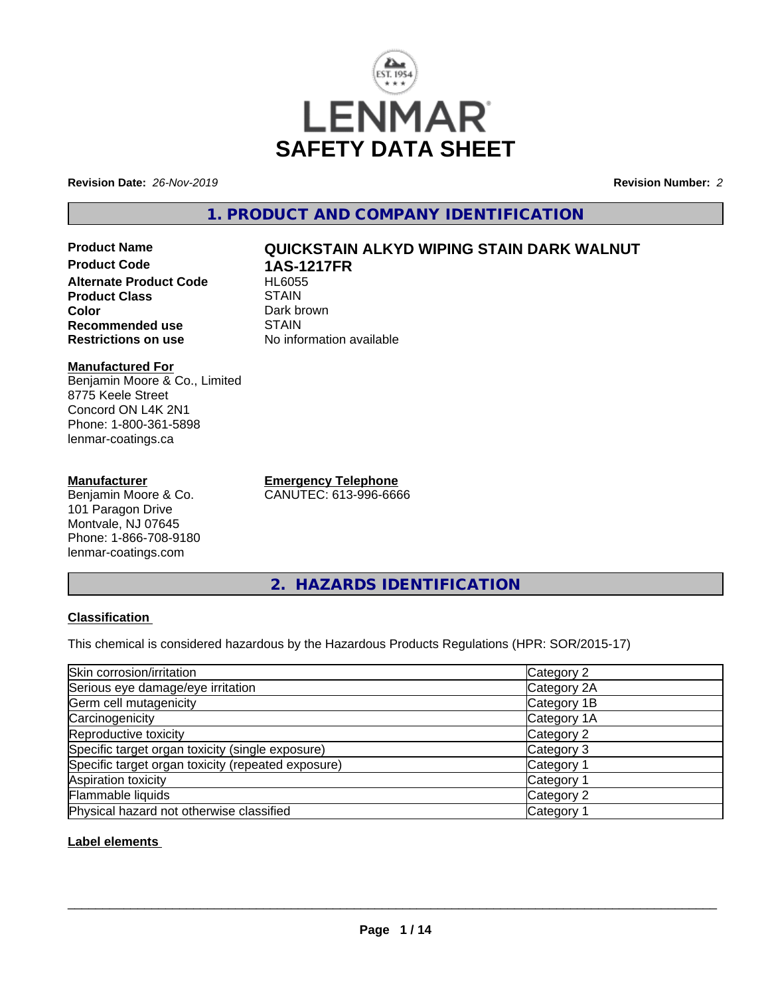

**Revision Date:** *26-Nov-2019* **Revision Number:** *2*

**1. PRODUCT AND COMPANY IDENTIFICATION**

# **Product Name QUICKSTAIN ALKYD WIPING STAIN DARK WALNUT Product Code 1AS-1217FR Alternate Product Code Product Class STAIN Color** Dark brown<br> **Recommended use** STAIN **Recommended use**<br>Restrictions on use

#### **Manufactured For** Benjamin Moore & Co., Limited 8775 Keele Street Concord ON L4K 2N1 Phone: 1-800-361-5898 lenmar-coatings.ca

## **Manufacturer**

Benjamin Moore & Co. 101 Paragon Drive Montvale, NJ 07645 Phone: 1-866-708-9180 lenmar-coatings.com

**Emergency Telephone** CANUTEC: 613-996-6666

**No information available** 

**2. HAZARDS IDENTIFICATION**

## **Classification**

This chemical is considered hazardous by the Hazardous Products Regulations (HPR: SOR/2015-17)

| Skin corrosion/irritation                          | Category 2  |
|----------------------------------------------------|-------------|
| Serious eye damage/eye irritation                  | Category 2A |
| Germ cell mutagenicity                             | Category 1B |
| Carcinogenicity                                    | Category 1A |
| Reproductive toxicity                              | Category 2  |
| Specific target organ toxicity (single exposure)   | Category 3  |
| Specific target organ toxicity (repeated exposure) | Category 1  |
| Aspiration toxicity                                | Category 1  |
| Flammable liquids                                  | Category 2  |
| Physical hazard not otherwise classified           | Category    |

## **Label elements**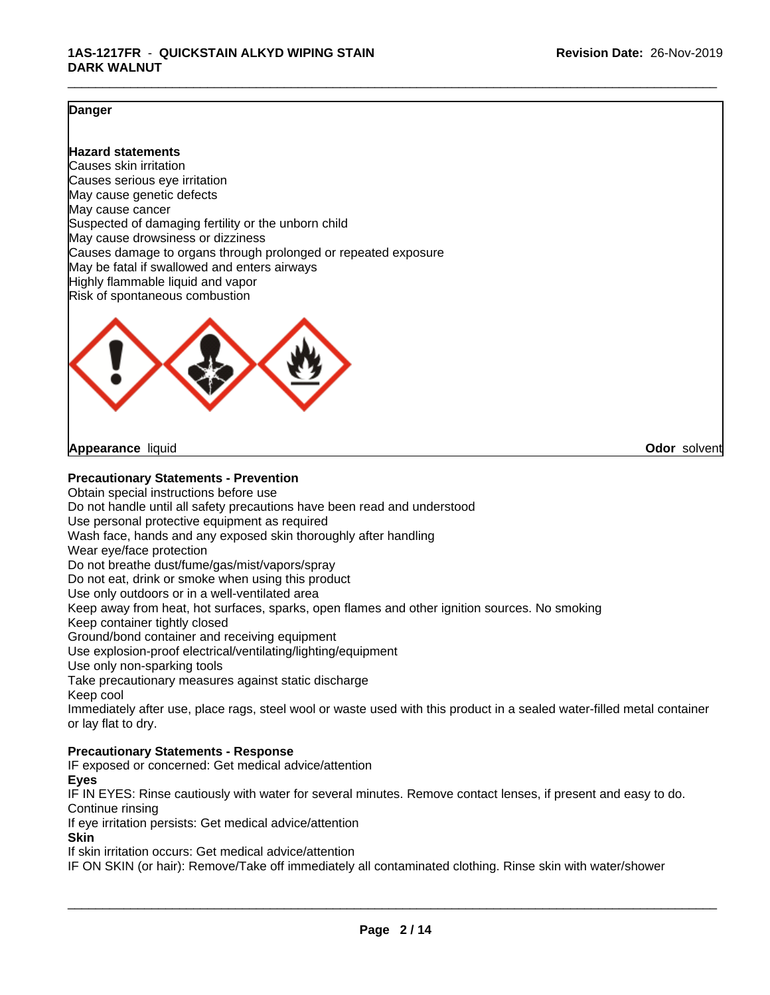## **Danger**

## **Hazard statements**

Causes skin irritation Causes serious eye irritation May cause genetic defects May cause cancer Suspected of damaging fertility or the unborn child May cause drowsiness or dizziness Causes damage to organs through prolonged or repeated exposure May be fatal if swallowed and enters airways Highly flammable liquid and vapor Risk of spontaneous combustion



**Appearance** liquid **Odor** solvent

**Precautionary Statements - Prevention**

Obtain special instructions before use Do not handle until all safety precautions have been read and understood Use personal protective equipment as required Wash face, hands and any exposed skin thoroughly after handling Wear eye/face protection Do not breathe dust/fume/gas/mist/vapors/spray Do not eat, drink or smoke when using this product Use only outdoors or in a well-ventilated area Keep away from heat, hot surfaces, sparks, open flames and other ignition sources. No smoking Keep container tightly closed Ground/bond container and receiving equipment Use explosion-proof electrical/ventilating/lighting/equipment Use only non-sparking tools Take precautionary measures against static discharge Keep cool Immediately after use, place rags, steel wool or waste used with this product in a sealed water-filled metal container or lay flat to dry. **Precautionary Statements - Response**

IF exposed or concerned: Get medical advice/attention

**Eyes**

IF IN EYES: Rinse cautiously with water for several minutes. Remove contact lenses, if present and easy to do. Continue rinsing

If eye irritation persists: Get medical advice/attention

**Skin**

If skin irritation occurs: Get medical advice/attention

IF ON SKIN (or hair): Remove/Take off immediately all contaminated clothing. Rinse skin with water/shower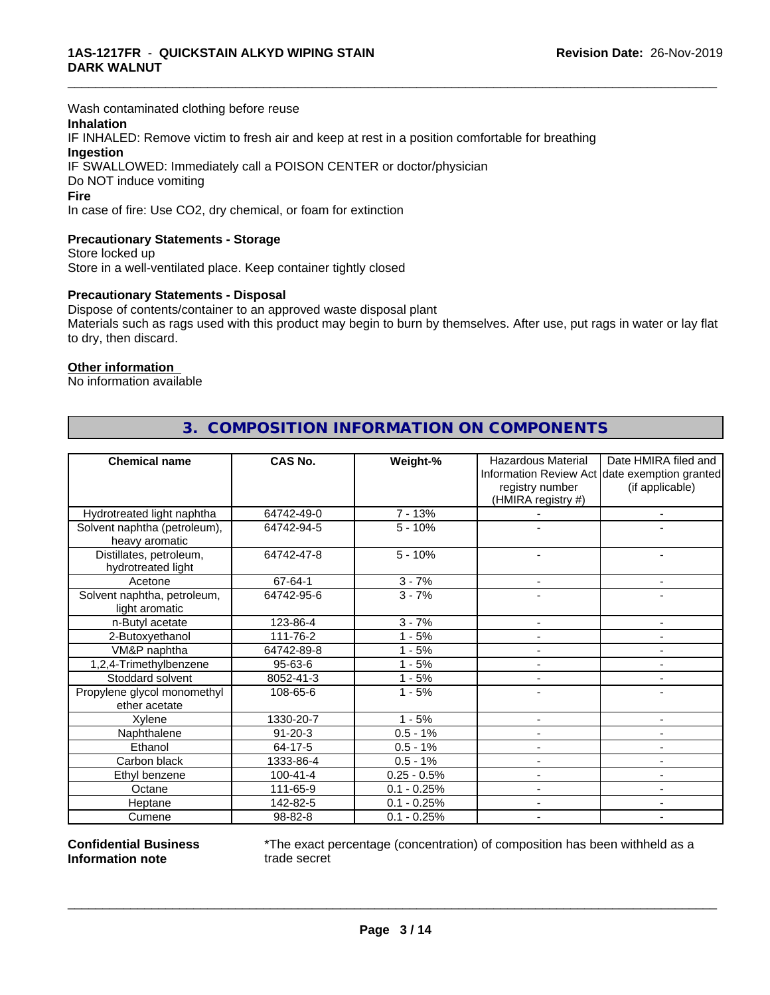Wash contaminated clothing before reuse

## **Inhalation**

IF INHALED: Remove victim to fresh air and keep at rest in a position comfortable for breathing **Ingestion** IF SWALLOWED: Immediately call a POISON CENTER or doctor/physician

Do NOT induce vomiting

#### **Fire**

In case of fire: Use CO2, dry chemical, or foam for extinction

## **Precautionary Statements - Storage**

Store locked up Store in a well-ventilated place. Keep container tightly closed

#### **Precautionary Statements - Disposal**

Dispose of contents/container to an approved waste disposal plant Materials such as rags used with this product may begin to burn by themselves. After use, put rags in water or lay flat to dry, then discard.

\_\_\_\_\_\_\_\_\_\_\_\_\_\_\_\_\_\_\_\_\_\_\_\_\_\_\_\_\_\_\_\_\_\_\_\_\_\_\_\_\_\_\_\_\_\_\_\_\_\_\_\_\_\_\_\_\_\_\_\_\_\_\_\_\_\_\_\_\_\_\_\_\_\_\_\_\_\_\_\_\_\_\_\_\_\_\_\_\_\_\_\_\_

#### **Other information**

No information available

| <b>Chemical name</b>                           | CAS No.        | Weight-%      | <b>Hazardous Material</b>             | Date HMIRA filed and<br>Information Review Act date exemption granted |
|------------------------------------------------|----------------|---------------|---------------------------------------|-----------------------------------------------------------------------|
|                                                |                |               | registry number<br>(HMIRA registry #) | (if applicable)                                                       |
| Hydrotreated light naphtha                     | 64742-49-0     | $7 - 13%$     |                                       | ۰                                                                     |
| Solvent naphtha (petroleum),<br>heavy aromatic | 64742-94-5     | $5 - 10%$     |                                       |                                                                       |
| Distillates, petroleum,<br>hydrotreated light  | 64742-47-8     | $5 - 10%$     |                                       |                                                                       |
| Acetone                                        | 67-64-1        | $3 - 7%$      | $\blacksquare$                        | ٠                                                                     |
| Solvent naphtha, petroleum,<br>light aromatic  | 64742-95-6     | $3 - 7%$      |                                       |                                                                       |
| n-Butyl acetate                                | 123-86-4       | $3 - 7%$      | $\blacksquare$                        | $\blacksquare$                                                        |
| 2-Butoxyethanol                                | 111-76-2       | $1 - 5%$      |                                       |                                                                       |
| VM&P naphtha                                   | 64742-89-8     | $1 - 5%$      |                                       | ٠                                                                     |
| 1,2,4-Trimethylbenzene                         | 95-63-6        | $1 - 5%$      |                                       |                                                                       |
| Stoddard solvent                               | 8052-41-3      | $1 - 5%$      |                                       | ۰                                                                     |
| Propylene glycol monomethyl<br>ether acetate   | 108-65-6       | $1 - 5%$      |                                       |                                                                       |
| Xylene                                         | 1330-20-7      | $1 - 5%$      |                                       | ۰                                                                     |
| Naphthalene                                    | $91 - 20 - 3$  | $0.5 - 1%$    |                                       |                                                                       |
| Ethanol                                        | 64-17-5        | $0.5 - 1%$    |                                       | ٠                                                                     |
| Carbon black                                   | 1333-86-4      | $0.5 - 1%$    |                                       |                                                                       |
| Ethyl benzene                                  | $100 - 41 - 4$ | $0.25 - 0.5%$ |                                       | $\blacksquare$                                                        |
| Octane                                         | 111-65-9       | $0.1 - 0.25%$ |                                       |                                                                       |
| Heptane                                        | 142-82-5       | $0.1 - 0.25%$ |                                       | $\blacksquare$                                                        |
| Cumene                                         | 98-82-8        | $0.1 - 0.25%$ |                                       |                                                                       |

# **3. COMPOSITION INFORMATION ON COMPONENTS**

**Confidential Business Information note**

\*The exact percentage (concentration) of composition has been withheld as a trade secret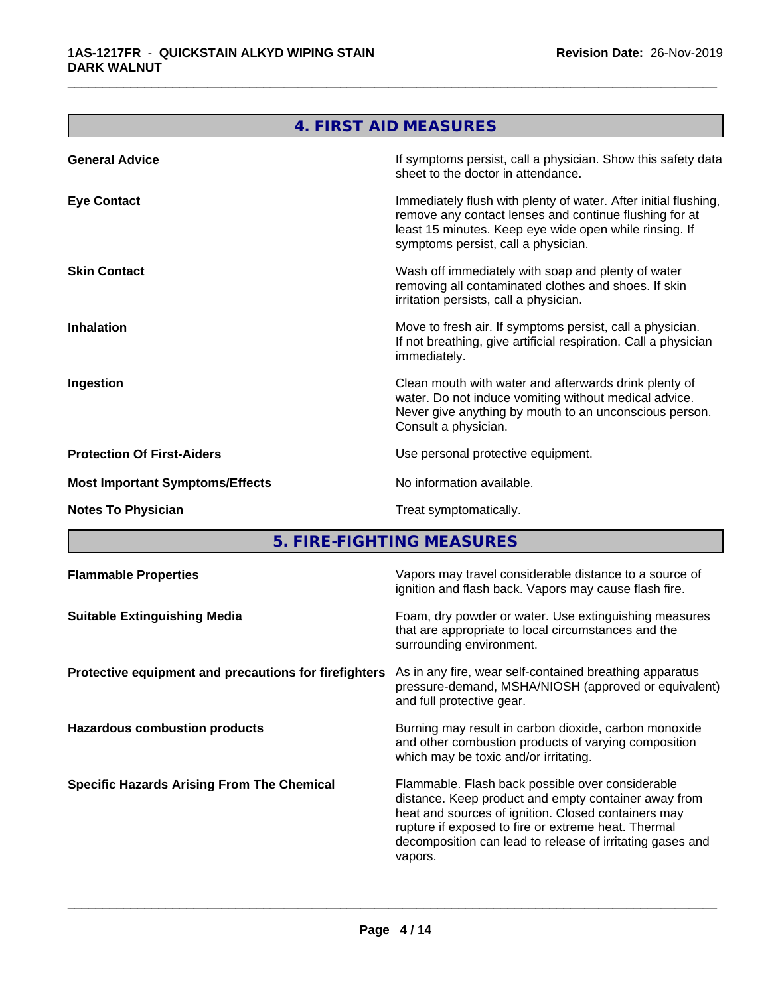|                                        | <b>4. FIRST AID MEASURES</b>                                                                                                                                                                                               |
|----------------------------------------|----------------------------------------------------------------------------------------------------------------------------------------------------------------------------------------------------------------------------|
| <b>General Advice</b>                  | If symptoms persist, call a physician. Show this safety data<br>sheet to the doctor in attendance.                                                                                                                         |
| <b>Eye Contact</b>                     | Immediately flush with plenty of water. After initial flushing,<br>remove any contact lenses and continue flushing for at<br>least 15 minutes. Keep eye wide open while rinsing. If<br>symptoms persist, call a physician. |
| <b>Skin Contact</b>                    | Wash off immediately with soap and plenty of water<br>removing all contaminated clothes and shoes. If skin<br>irritation persists, call a physician.                                                                       |
| <b>Inhalation</b>                      | Move to fresh air. If symptoms persist, call a physician.<br>If not breathing, give artificial respiration. Call a physician<br>immediately.                                                                               |
| Ingestion                              | Clean mouth with water and afterwards drink plenty of<br>water. Do not induce vomiting without medical advice.<br>Never give anything by mouth to an unconscious person.<br>Consult a physician.                           |
| <b>Protection Of First-Aiders</b>      | Use personal protective equipment.                                                                                                                                                                                         |
| <b>Most Important Symptoms/Effects</b> | No information available.                                                                                                                                                                                                  |
| <b>Notes To Physician</b>              | Treat symptomatically.                                                                                                                                                                                                     |
|                                        | 5. FIRE-FIGHTING MEASURES                                                                                                                                                                                                  |

| <b>Flammable Properties</b>                           | Vapors may travel considerable distance to a source of<br>ignition and flash back. Vapors may cause flash fire.                                                                                                                                                                                |
|-------------------------------------------------------|------------------------------------------------------------------------------------------------------------------------------------------------------------------------------------------------------------------------------------------------------------------------------------------------|
| <b>Suitable Extinguishing Media</b>                   | Foam, dry powder or water. Use extinguishing measures<br>that are appropriate to local circumstances and the<br>surrounding environment.                                                                                                                                                       |
| Protective equipment and precautions for firefighters | As in any fire, wear self-contained breathing apparatus<br>pressure-demand, MSHA/NIOSH (approved or equivalent)<br>and full protective gear.                                                                                                                                                   |
| <b>Hazardous combustion products</b>                  | Burning may result in carbon dioxide, carbon monoxide<br>and other combustion products of varying composition<br>which may be toxic and/or irritating.                                                                                                                                         |
| <b>Specific Hazards Arising From The Chemical</b>     | Flammable. Flash back possible over considerable<br>distance. Keep product and empty container away from<br>heat and sources of ignition. Closed containers may<br>rupture if exposed to fire or extreme heat. Thermal<br>decomposition can lead to release of irritating gases and<br>vapors. |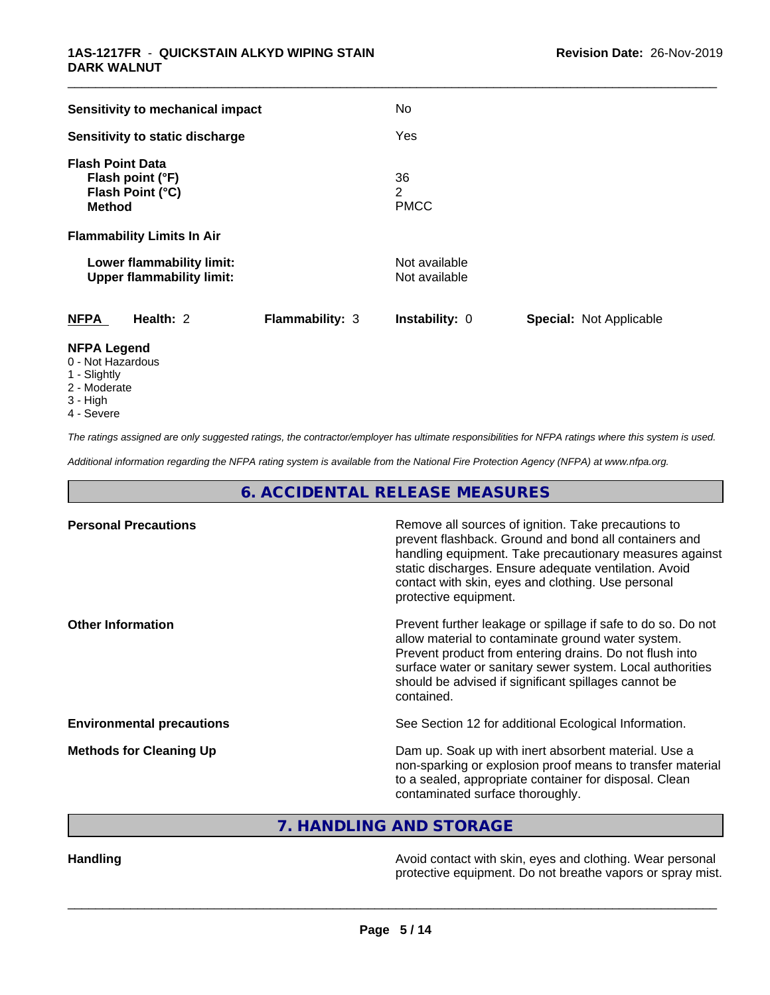| Sensitivity to mechanical impact                                                 |                        | No                             |                                |
|----------------------------------------------------------------------------------|------------------------|--------------------------------|--------------------------------|
| Sensitivity to static discharge                                                  |                        | Yes                            |                                |
| <b>Flash Point Data</b><br>Flash point (°F)<br>Flash Point (°C)<br><b>Method</b> |                        | 36<br>2<br><b>PMCC</b>         |                                |
| <b>Flammability Limits In Air</b>                                                |                        |                                |                                |
| Lower flammability limit:<br><b>Upper flammability limit:</b>                    |                        | Not available<br>Not available |                                |
| Health: 2<br><b>NFPA</b>                                                         | <b>Flammability: 3</b> | <b>Instability: 0</b>          | <b>Special: Not Applicable</b> |
| <b>NFPA Legend</b><br>0 - Not Hazardous<br>1 - Slightly                          |                        |                                |                                |

- 
- 2 Moderate
- 3 High
- 4 Severe

*The ratings assigned are only suggested ratings, the contractor/employer has ultimate responsibilities for NFPA ratings where this system is used.*

*Additional information regarding the NFPA rating system is available from the National Fire Protection Agency (NFPA) at www.nfpa.org.*

**6. ACCIDENTAL RELEASE MEASURES**

| <b>Personal Precautions</b>      | Remove all sources of ignition. Take precautions to<br>prevent flashback. Ground and bond all containers and<br>handling equipment. Take precautionary measures against<br>static discharges. Ensure adequate ventilation. Avoid<br>contact with skin, eyes and clothing. Use personal<br>protective equipment.  |
|----------------------------------|------------------------------------------------------------------------------------------------------------------------------------------------------------------------------------------------------------------------------------------------------------------------------------------------------------------|
| <b>Other Information</b>         | Prevent further leakage or spillage if safe to do so. Do not<br>allow material to contaminate ground water system.<br>Prevent product from entering drains. Do not flush into<br>surface water or sanitary sewer system. Local authorities<br>should be advised if significant spillages cannot be<br>contained. |
| <b>Environmental precautions</b> | See Section 12 for additional Ecological Information.                                                                                                                                                                                                                                                            |
| <b>Methods for Cleaning Up</b>   | Dam up. Soak up with inert absorbent material. Use a<br>non-sparking or explosion proof means to transfer material<br>to a sealed, appropriate container for disposal. Clean<br>contaminated surface thoroughly.                                                                                                 |

**7. HANDLING AND STORAGE**

Handling **Handling Handling Avoid contact with skin, eyes and clothing. Wear personal** protective equipment. Do not breathe vapors or spray mist.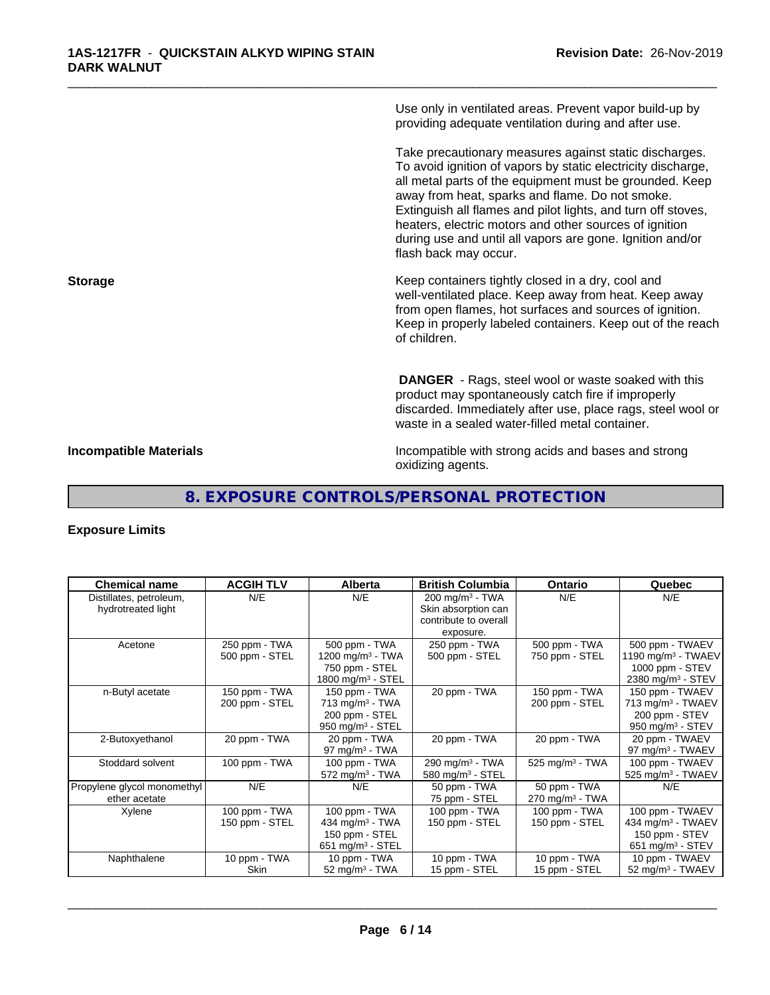Use only in ventilated areas. Prevent vapor build-up by providing adequate ventilation during and after use.

\_\_\_\_\_\_\_\_\_\_\_\_\_\_\_\_\_\_\_\_\_\_\_\_\_\_\_\_\_\_\_\_\_\_\_\_\_\_\_\_\_\_\_\_\_\_\_\_\_\_\_\_\_\_\_\_\_\_\_\_\_\_\_\_\_\_\_\_\_\_\_\_\_\_\_\_\_\_\_\_\_\_\_\_\_\_\_\_\_\_\_\_\_

Take precautionary measures against static discharges. To avoid ignition of vapors by static electricity discharge, all metal parts of the equipment must be grounded. Keep away from heat, sparks and flame. Do not smoke. Extinguish all flames and pilot lights, and turn off stoves, heaters, electric motors and other sources of ignition during use and until all vapors are gone. Ignition and/or flash back may occur.

**Storage Keep containers tightly closed in a dry, cool and get a dry and storage Keep containers tightly closed in a dry, cool and** well-ventilated place. Keep away from heat. Keep away from open flames, hot surfaces and sources of ignition. Keep in properly labeled containers. Keep out of the reach of children.

> **DANGER** - Rags, steel wool or waste soaked with this product may spontaneously catch fire if improperly discarded. Immediately after use, place rags, steel wool or waste in a sealed water-filled metal container.

**Incompatible Materials Incompatible with strong acids and bases and strong** oxidizing agents.

# **8. EXPOSURE CONTROLS/PERSONAL PROTECTION**

## **Exposure Limits**

| <b>Chemical name</b>                          | <b>ACGIH TLV</b>                | <b>Alberta</b>                                                                        | <b>British Columbia</b>                                                    | Ontario                                       | Quebec                                                                                             |
|-----------------------------------------------|---------------------------------|---------------------------------------------------------------------------------------|----------------------------------------------------------------------------|-----------------------------------------------|----------------------------------------------------------------------------------------------------|
| Distillates, petroleum,<br>hydrotreated light | N/E                             | N/E                                                                                   | $200 \text{ mg/m}^3$ - TWA<br>Skin absorption can<br>contribute to overall | N/E                                           | N/E                                                                                                |
|                                               |                                 |                                                                                       | exposure.                                                                  |                                               |                                                                                                    |
| Acetone                                       | 250 ppm - TWA<br>500 ppm - STEL | 500 ppm - TWA<br>1200 mg/m $3$ - TWA<br>750 ppm - STEL                                | 250 ppm - TWA<br>500 ppm - STEL                                            | 500 ppm - TWA<br>750 ppm - STEL               | 500 ppm - TWAEV<br>1190 mg/m <sup>3</sup> - TWAEV<br>1000 ppm - STEV                               |
|                                               |                                 | 1800 mg/m <sup>3</sup> - STEL                                                         |                                                                            |                                               | 2380 mg/m <sup>3</sup> - STEV                                                                      |
| n-Butyl acetate                               | 150 ppm - TWA<br>200 ppm - STEL | 150 ppm - TWA<br>$713$ mg/m <sup>3</sup> - TWA                                        | 20 ppm - TWA                                                               | 150 ppm - TWA<br>200 ppm - STEL               | 150 ppm - TWAEV<br>713 mg/m <sup>3</sup> - TWAEV                                                   |
|                                               |                                 | 200 ppm - STEL<br>950 mg/m <sup>3</sup> - STEL                                        |                                                                            |                                               | 200 ppm - STEV<br>950 mg/m <sup>3</sup> - STEV                                                     |
| 2-Butoxyethanol                               | 20 ppm - TWA                    | 20 ppm - TWA<br>97 mg/m $3$ - TWA                                                     | 20 ppm - TWA                                                               | 20 ppm - TWA                                  | 20 ppm - TWAEV<br>97 mg/m <sup>3</sup> - TWAEV                                                     |
| Stoddard solvent                              | 100 ppm - TWA                   | 100 ppm - TWA<br>$572$ mg/m <sup>3</sup> - TWA                                        | 290 mg/m <sup>3</sup> - TWA<br>580 mg/m <sup>3</sup> - STEL                | $525$ mg/m <sup>3</sup> - TWA                 | 100 ppm - TWAEV<br>525 mg/m <sup>3</sup> - TWAEV                                                   |
| Propylene glycol monomethyl<br>ether acetate  | N/E                             | N/E                                                                                   | 50 ppm - TWA<br>75 ppm - STEL                                              | 50 ppm - TWA<br>$270$ mg/m <sup>3</sup> - TWA | N/E                                                                                                |
| Xylene                                        | 100 ppm - TWA<br>150 ppm - STEL | 100 ppm - TWA<br>434 mg/m <sup>3</sup> - TWA<br>150 ppm - STEL<br>651 mg/m $3 -$ STEL | 100 ppm - TWA<br>150 ppm - STEL                                            | 100 ppm - TWA<br>150 ppm - STEL               | 100 ppm - TWAEV<br>434 mg/m <sup>3</sup> - TWAEV<br>150 ppm - STEV<br>651 mg/m <sup>3</sup> - STEV |
| Naphthalene                                   | 10 ppm - TWA<br><b>Skin</b>     | 10 ppm - TWA<br>52 mg/m $3$ - TWA                                                     | 10 ppm - TWA<br>15 ppm - STEL                                              | 10 ppm - TWA<br>15 ppm - STEL                 | 10 ppm - TWAEV<br>52 mg/m <sup>3</sup> - TWAEV                                                     |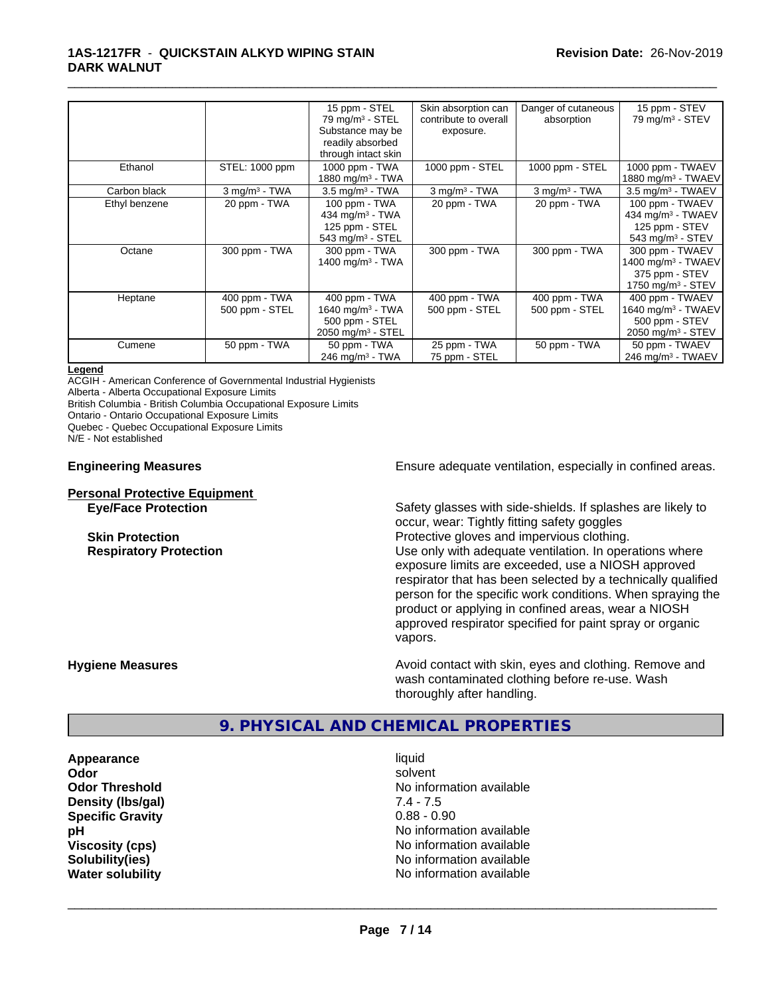|               |                                 | 15 ppm - STEL<br>$79 \text{ mg/m}^3$ - STEL                                                        | Skin absorption can<br>contribute to overall | Danger of cutaneous<br>absorption | 15 ppm - STEV<br>79 mg/m <sup>3</sup> - STEV                                                         |
|---------------|---------------------------------|----------------------------------------------------------------------------------------------------|----------------------------------------------|-----------------------------------|------------------------------------------------------------------------------------------------------|
|               |                                 | Substance may be<br>readily absorbed                                                               | exposure.                                    |                                   |                                                                                                      |
|               |                                 | through intact skin                                                                                |                                              |                                   |                                                                                                      |
| Ethanol       | STEL: 1000 ppm                  | 1000 ppm - TWA<br>1880 mg/m <sup>3</sup> - TWA                                                     | 1000 ppm - STEL                              | 1000 ppm - STEL                   | 1000 ppm - TWAEV<br>1880 mg/m <sup>3</sup> - TWAEV                                                   |
| Carbon black  | $3$ mg/m $3$ - TWA              | $3.5$ mg/m <sup>3</sup> - TWA                                                                      | $3$ mg/m $3$ - TWA                           | $3$ mg/m $3$ - TWA                | 3.5 mg/m <sup>3</sup> - TWAEV                                                                        |
| Ethyl benzene | 20 ppm - TWA                    | 100 ppm - TWA<br>434 mg/m $3 - TWA$<br>125 ppm - STEL<br>543 mg/m <sup>3</sup> - STEL              | 20 ppm - TWA                                 | 20 ppm - TWA                      | 100 ppm - TWAEV<br>434 mg/m <sup>3</sup> - TWAEV<br>125 ppm - STEV<br>543 mg/m $3 -$ STEV            |
| Octane        | 300 ppm - TWA                   | 300 ppm - TWA<br>1400 mg/m $3$ - TWA                                                               | 300 ppm - TWA                                | 300 ppm - TWA                     | 300 ppm - TWAEV<br>1400 mg/m <sup>3</sup> - TWAEV<br>375 ppm - STEV<br>1750 mg/m <sup>3</sup> - STEV |
| Heptane       | 400 ppm - TWA<br>500 ppm - STEL | 400 ppm - TWA<br>1640 mg/m <sup>3</sup> - TWA<br>500 ppm - STEL<br>$2050$ mg/m <sup>3</sup> - STEL | 400 ppm - TWA<br>500 ppm - STEL              | 400 ppm - TWA<br>500 ppm - STEL   | 400 ppm - TWAEV<br>1640 mg/m <sup>3</sup> - TWAEV<br>500 ppm - STEV<br>2050 mg/m <sup>3</sup> - STEV |
| Cumene        | 50 ppm - TWA                    | 50 ppm - TWA<br>$246$ mg/m <sup>3</sup> - TWA                                                      | 25 ppm - TWA<br>75 ppm - STEL                | 50 ppm - TWA                      | 50 ppm - TWAEV<br>246 mg/m <sup>3</sup> - TWAEV                                                      |

#### **Legend**

ACGIH - American Conference of Governmental Industrial Hygienists

Alberta - Alberta Occupational Exposure Limits

British Columbia - British Columbia Occupational Exposure Limits

Ontario - Ontario Occupational Exposure Limits

Quebec - Quebec Occupational Exposure Limits

N/E - Not established

#### **Personal Protective Equipment**

**Engineering Measures Ensure** Ensure adequate ventilation, especially in confined areas.

**Eye/Face Protection** Safety glasses with side-shields. If splashes are likely to occur, wear: Tightly fitting safety goggles **Skin Protection Protection Protective gloves and impervious clothing. Respiratory Protection Number 1** (Use only with adequate ventilation. In operations where exposure limits are exceeded, use a NIOSH approved respirator that has been selected by a technically qualified person for the specific work conditions. When spraying the product or applying in confined areas, wear a NIOSH approved respirator specified for paint spray or organic vapors.

**Hygiene Measures Avoid contact with skin, eyes and clothing. Remove and Hygiene Measures Avoid contact with skin, eyes and clothing. Remove and** wash contaminated clothing before re-use. Wash thoroughly after handling.

## **9. PHYSICAL AND CHEMICAL PROPERTIES**

**Appearance** liquid **Density (lbs/gal) Specific Gravity** 0.88 - 0.90

**Odor** solvent **Odor Threshold**<br> **Density (Ibs/gal)**<br> **Density (Ibs/gal)**<br> **No information available**<br>  $7.4 - 7.5$ **pH** No information available **Viscosity (cps)** No information available **Solubility(ies)** No information available **Water solubility** No information available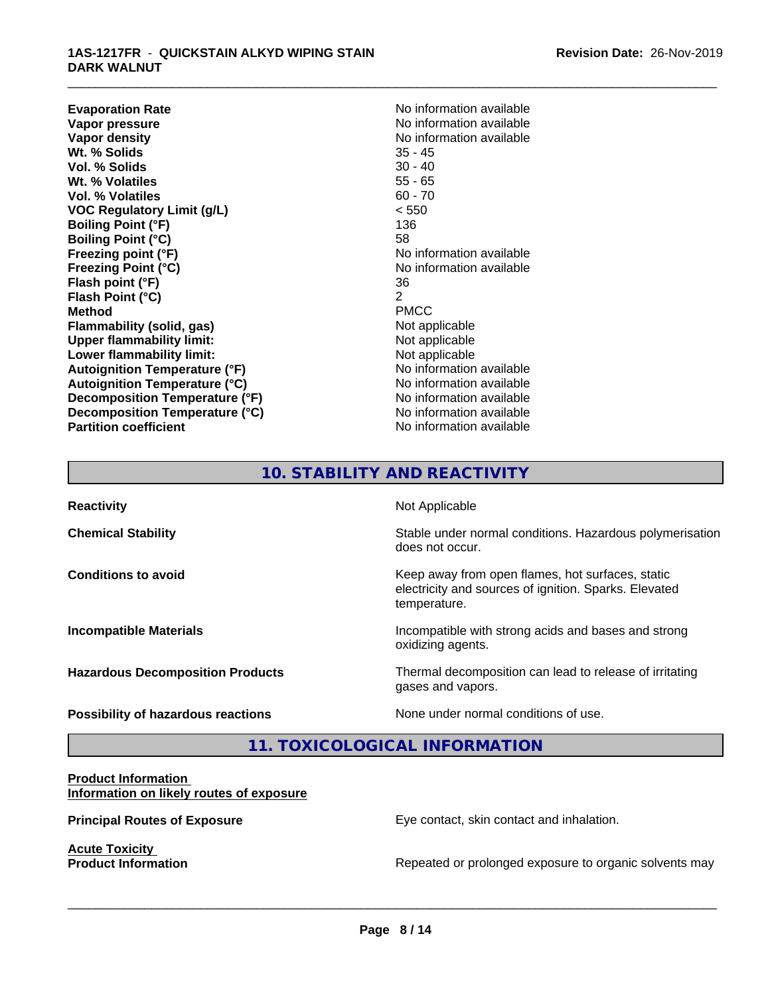**Evaporation Rate No information available**<br> **Vapor pressure No information available**<br>
No information available **Vapor pressure**<br> **Vapor density**<br> **Vapor density**<br> **Vapor density**<br> **Vapor density Wt. % Solids** 35 - 45 **Vol. % Solids** 30 - 40<br> **Wt. % Volatiles** 35 - 65 **Wt. % Volatiles Vol. % Volatiles** 60 - 70 **VOC Regulatory Limit (g/L)** < 550 **Boiling Point (°F)** 136 **Boiling Point (°C)** 58 **Freezing point (°F)**<br> **Freezing Point (°C)**<br> **Freezing Point (°C)**<br> **No** information available **Flash point (°F)** 36 **Flash Point (°C)** 2<br> **Method** PMCC **Method** PMCC **Flammability (solid, gas)** Not applicable<br>
Upper flammability limit:<br>
Not applicable **Upper flammability limit: Lower flammability limit:** Not applicable **Autoignition Temperature (°F)**<br> **Autoignition Temperature (°C)** No information available **Autoignition Temperature (°C) Decomposition Temperature (°F)** No information available **Decomposition Temperature (°C)**<br> **Partition coefficient**<br> **Partition coefficient**<br> **No** information available

**No information available**<br>35 - 45 **Freezing Point (°C)** No information available **No information available** 

\_\_\_\_\_\_\_\_\_\_\_\_\_\_\_\_\_\_\_\_\_\_\_\_\_\_\_\_\_\_\_\_\_\_\_\_\_\_\_\_\_\_\_\_\_\_\_\_\_\_\_\_\_\_\_\_\_\_\_\_\_\_\_\_\_\_\_\_\_\_\_\_\_\_\_\_\_\_\_\_\_\_\_\_\_\_\_\_\_\_\_\_\_

# **10. STABILITY AND REACTIVITY**

| <b>Reactivity</b>                         | Not Applicable                                                                                                            |
|-------------------------------------------|---------------------------------------------------------------------------------------------------------------------------|
| <b>Chemical Stability</b>                 | Stable under normal conditions. Hazardous polymerisation<br>does not occur.                                               |
| <b>Conditions to avoid</b>                | Keep away from open flames, hot surfaces, static<br>electricity and sources of ignition. Sparks. Elevated<br>temperature. |
| <b>Incompatible Materials</b>             | Incompatible with strong acids and bases and strong<br>oxidizing agents.                                                  |
| <b>Hazardous Decomposition Products</b>   | Thermal decomposition can lead to release of irritating<br>gases and vapors.                                              |
| <b>Possibility of hazardous reactions</b> | None under normal conditions of use.                                                                                      |

**11. TOXICOLOGICAL INFORMATION**

#### **Product Information Information on likely routes of exposure**

**Acute Toxicity<br>Product Information** 

**Principal Routes of Exposure Exposure** Eye contact, skin contact and inhalation.

 $\overline{\phantom{a}}$  ,  $\overline{\phantom{a}}$  ,  $\overline{\phantom{a}}$  ,  $\overline{\phantom{a}}$  ,  $\overline{\phantom{a}}$  ,  $\overline{\phantom{a}}$  ,  $\overline{\phantom{a}}$  ,  $\overline{\phantom{a}}$  ,  $\overline{\phantom{a}}$  ,  $\overline{\phantom{a}}$  ,  $\overline{\phantom{a}}$  ,  $\overline{\phantom{a}}$  ,  $\overline{\phantom{a}}$  ,  $\overline{\phantom{a}}$  ,  $\overline{\phantom{a}}$  ,  $\overline{\phantom{a}}$ 

Repeated or prolonged exposure to organic solvents may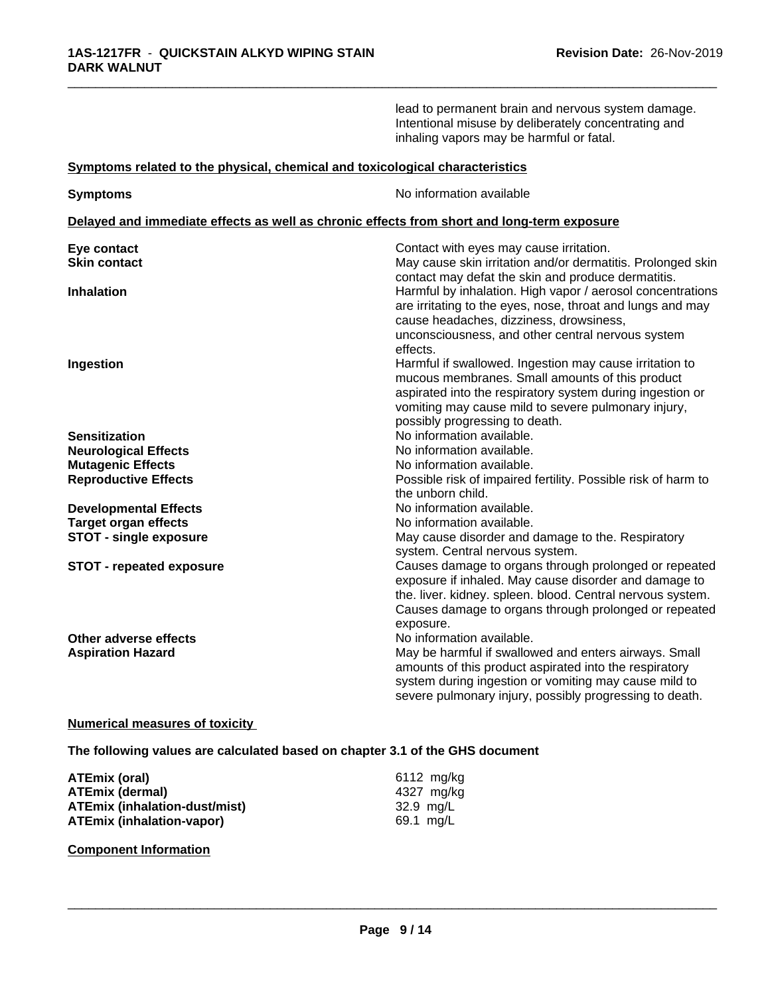|                                                                              | lead to permanent brain and nervous system damage.<br>Intentional misuse by deliberately concentrating and<br>inhaling vapors may be harmful or fatal.                                                                                                                               |
|------------------------------------------------------------------------------|--------------------------------------------------------------------------------------------------------------------------------------------------------------------------------------------------------------------------------------------------------------------------------------|
| Symptoms related to the physical, chemical and toxicological characteristics |                                                                                                                                                                                                                                                                                      |
| <b>Symptoms</b>                                                              | No information available                                                                                                                                                                                                                                                             |
|                                                                              | Delayed and immediate effects as well as chronic effects from short and long-term exposure                                                                                                                                                                                           |
| Eye contact                                                                  | Contact with eyes may cause irritation.                                                                                                                                                                                                                                              |
| <b>Skin contact</b>                                                          | May cause skin irritation and/or dermatitis. Prolonged skin<br>contact may defat the skin and produce dermatitis.                                                                                                                                                                    |
| <b>Inhalation</b>                                                            | Harmful by inhalation. High vapor / aerosol concentrations                                                                                                                                                                                                                           |
| Ingestion                                                                    | are irritating to the eyes, nose, throat and lungs and may<br>cause headaches, dizziness, drowsiness,<br>unconsciousness, and other central nervous system<br>effects.<br>Harmful if swallowed. Ingestion may cause irritation to<br>mucous membranes. Small amounts of this product |
|                                                                              | aspirated into the respiratory system during ingestion or<br>vomiting may cause mild to severe pulmonary injury,<br>possibly progressing to death.                                                                                                                                   |
| <b>Sensitization</b>                                                         | No information available.                                                                                                                                                                                                                                                            |
| <b>Neurological Effects</b>                                                  | No information available.                                                                                                                                                                                                                                                            |
| <b>Mutagenic Effects</b>                                                     | No information available.                                                                                                                                                                                                                                                            |
| <b>Reproductive Effects</b>                                                  | Possible risk of impaired fertility. Possible risk of harm to<br>the unborn child.                                                                                                                                                                                                   |
| <b>Developmental Effects</b>                                                 | No information available.                                                                                                                                                                                                                                                            |
| <b>Target organ effects</b>                                                  | No information available.                                                                                                                                                                                                                                                            |
| <b>STOT - single exposure</b>                                                | May cause disorder and damage to the. Respiratory<br>system. Central nervous system.                                                                                                                                                                                                 |
| <b>STOT - repeated exposure</b>                                              | Causes damage to organs through prolonged or repeated<br>exposure if inhaled. May cause disorder and damage to<br>the. liver. kidney. spleen. blood. Central nervous system.<br>Causes damage to organs through prolonged or repeated<br>exposure.                                   |
| Other adverse effects<br><b>Aspiration Hazard</b>                            | No information available.<br>May be harmful if swallowed and enters airways. Small<br>amounts of this product aspirated into the respiratory<br>system during ingestion or vomiting may cause mild to<br>severe pulmonary injury, possibly progressing to death.                     |
|                                                                              |                                                                                                                                                                                                                                                                                      |

## **Numerical measures of toxicity**

**The following values are calculated based on chapter 3.1 of the GHS document**

| ATEmix (oral)                        | 6112 mg/kg |
|--------------------------------------|------------|
| <b>ATEmix (dermal)</b>               | 4327 ma/ka |
| <b>ATEmix (inhalation-dust/mist)</b> | 32.9 mg/L  |
| <b>ATEmix (inhalation-vapor)</b>     | 69.1 mg/L  |

## **Component Information**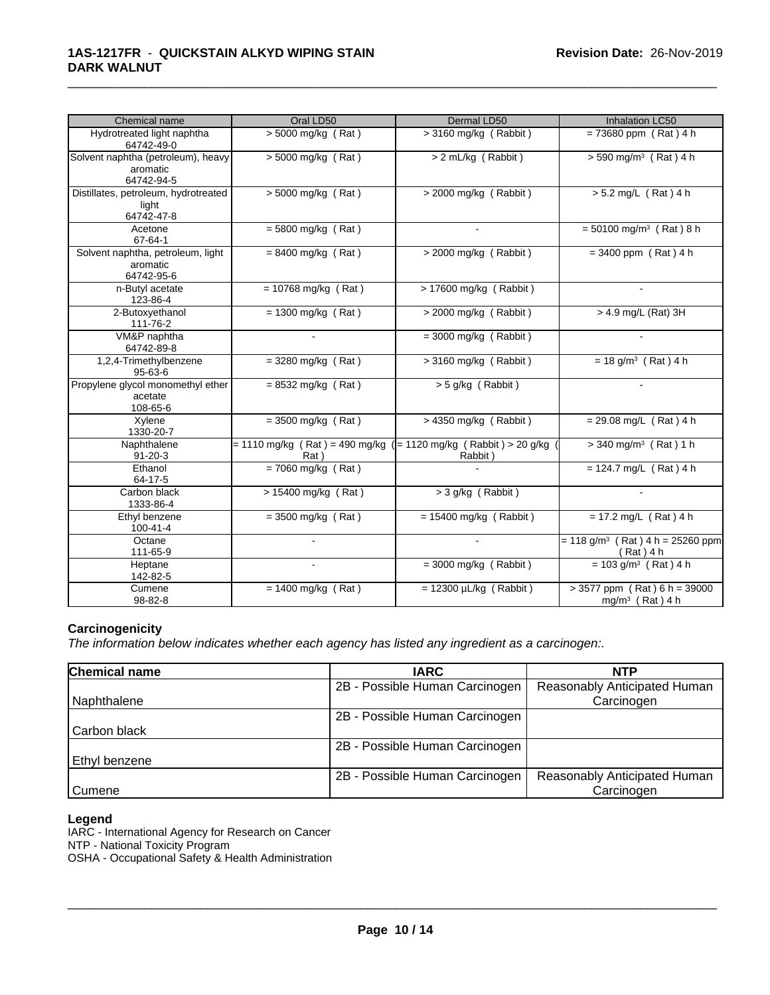| Chemical name                                                | Oral LD50                     | Dermal LD50                                                                 | Inhalation LC50                                               |
|--------------------------------------------------------------|-------------------------------|-----------------------------------------------------------------------------|---------------------------------------------------------------|
| Hydrotreated light naphtha<br>64742-49-0                     | $> 5000$ mg/kg (Rat)          | $>$ 3160 mg/kg (Rabbit)                                                     | $= 73680$ ppm (Rat) 4 h                                       |
| Solvent naphtha (petroleum), heavy<br>aromatic<br>64742-94-5 | $>$ 5000 mg/kg (Rat)          | > 2 mL/kg (Rabbit)                                                          | $> 590$ mg/m <sup>3</sup> (Rat) 4 h                           |
| Distillates, petroleum, hydrotreated<br>light<br>64742-47-8  | > 5000 mg/kg (Rat)            | $>$ 2000 mg/kg (Rabbit)                                                     | $> 5.2$ mg/L (Rat) 4 h                                        |
| Acetone<br>67-64-1                                           | $= 5800$ mg/kg (Rat)          |                                                                             | $= 50100$ mg/m <sup>3</sup> (Rat) 8 h                         |
| Solvent naphtha, petroleum, light<br>aromatic<br>64742-95-6  | $= 8400$ mg/kg (Rat)          | $>$ 2000 mg/kg (Rabbit)                                                     | $= 3400$ ppm (Rat) 4 h                                        |
| n-Butyl acetate<br>123-86-4                                  | $= 10768$ mg/kg (Rat)         | $> 17600$ mg/kg (Rabbit)                                                    | $\sim$                                                        |
| 2-Butoxyethanol<br>111-76-2                                  | $= 1300$ mg/kg (Rat)          | $>$ 2000 mg/kg (Rabbit)                                                     | > 4.9 mg/L (Rat) 3H                                           |
| VM&P naphtha<br>64742-89-8                                   |                               | $=$ 3000 mg/kg (Rabbit)                                                     |                                                               |
| 1,2,4-Trimethylbenzene<br>$95 - 63 - 6$                      | $=$ 3280 mg/kg (Rat)          | $>$ 3160 mg/kg (Rabbit)                                                     | $= 18$ g/m <sup>3</sup> (Rat) 4 h                             |
| Propylene glycol monomethyl ether<br>acetate<br>108-65-6     | $= 8532$ mg/kg (Rat)          | $> 5$ g/kg (Rabbit)                                                         |                                                               |
| Xylene<br>1330-20-7                                          | $\sqrt{2} = 3500$ mg/kg (Rat) | > 4350 mg/kg (Rabbit)                                                       | $= 29.08$ mg/L (Rat) 4 h                                      |
| Naphthalene<br>$91 - 20 - 3$                                 | Rat)                          | = 1110 mg/kg (Rat) = 490 mg/kg ( = 1120 mg/kg (Rabbit) > 20 g/kg<br>Rabbit) | $> 340$ mg/m <sup>3</sup> (Rat) 1 h                           |
| Ethanol<br>64-17-5                                           | $= 7060$ mg/kg (Rat)          |                                                                             | $= 124.7$ mg/L (Rat) 4 h                                      |
| Carbon black<br>1333-86-4                                    | > 15400 mg/kg (Rat)           | $>$ 3 g/kg (Rabbit)                                                         |                                                               |
| Ethyl benzene<br>100-41-4                                    | $=$ 3500 mg/kg (Rat)          | $= 15400$ mg/kg (Rabbit)                                                    | $= 17.2$ mg/L (Rat) 4 h                                       |
| Octane<br>111-65-9                                           |                               |                                                                             | $= 118$ g/m <sup>3</sup> (Rat) 4 h = 25260 ppm<br>(Rat) 4 h   |
| Heptane<br>142-82-5                                          | $\sim$                        | $=$ 3000 mg/kg (Rabbit)                                                     | $= 103$ g/m <sup>3</sup> (Rat) 4 h                            |
| Cumene<br>98-82-8                                            | $= 1400$ mg/kg (Rat)          | $= 12300 \mu L/kg$ (Rabbit)                                                 | $> 3577$ ppm (Rat) 6 h = 39000<br>mg/m <sup>3</sup> (Rat) 4 h |

#### **Carcinogenicity**

*The information below indicateswhether each agency has listed any ingredient as a carcinogen:.*

| <b>Chemical name</b> | <b>IARC</b>                    | <b>NTP</b>                   |  |
|----------------------|--------------------------------|------------------------------|--|
|                      | 2B - Possible Human Carcinogen | Reasonably Anticipated Human |  |
| Naphthalene          |                                | Carcinogen                   |  |
|                      | 2B - Possible Human Carcinogen |                              |  |
| Carbon black         |                                |                              |  |
|                      | 2B - Possible Human Carcinogen |                              |  |
| Ethyl benzene        |                                |                              |  |
|                      | 2B - Possible Human Carcinogen | Reasonably Anticipated Human |  |
| Cumene               |                                | Carcinogen                   |  |

#### **Legend**

IARC - International Agency for Research on Cancer

NTP - National Toxicity Program

OSHA - Occupational Safety & Health Administration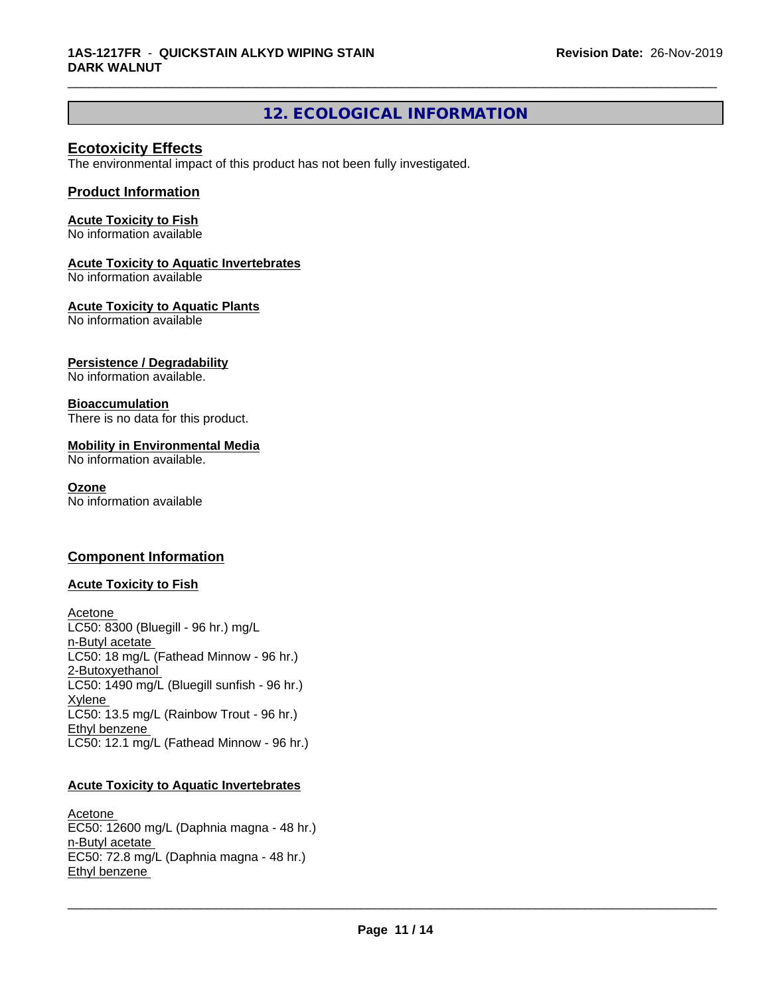# **12. ECOLOGICAL INFORMATION**

\_\_\_\_\_\_\_\_\_\_\_\_\_\_\_\_\_\_\_\_\_\_\_\_\_\_\_\_\_\_\_\_\_\_\_\_\_\_\_\_\_\_\_\_\_\_\_\_\_\_\_\_\_\_\_\_\_\_\_\_\_\_\_\_\_\_\_\_\_\_\_\_\_\_\_\_\_\_\_\_\_\_\_\_\_\_\_\_\_\_\_\_\_

## **Ecotoxicity Effects**

The environmental impact of this product has not been fully investigated.

## **Product Information**

## **Acute Toxicity to Fish**

No information available

## **Acute Toxicity to Aquatic Invertebrates**

No information available

## **Acute Toxicity to Aquatic Plants**

No information available

## **Persistence / Degradability**

No information available.

## **Bioaccumulation**

There is no data for this product.

## **Mobility in Environmental Media**

No information available.

#### **Ozone**

No information available

## **Component Information**

## **Acute Toxicity to Fish**

Acetone LC50: 8300 (Bluegill - 96 hr.) mg/L n-Butyl acetate LC50: 18 mg/L (Fathead Minnow - 96 hr.) 2-Butoxyethanol LC50: 1490 mg/L (Bluegill sunfish - 96 hr.) Xylene LC50: 13.5 mg/L (Rainbow Trout - 96 hr.) Ethyl benzene LC50: 12.1 mg/L (Fathead Minnow - 96 hr.)

## **Acute Toxicity to Aquatic Invertebrates**

Acetone EC50: 12600 mg/L (Daphnia magna - 48 hr.) n-Butyl acetate EC50: 72.8 mg/L (Daphnia magna - 48 hr.) Ethyl benzene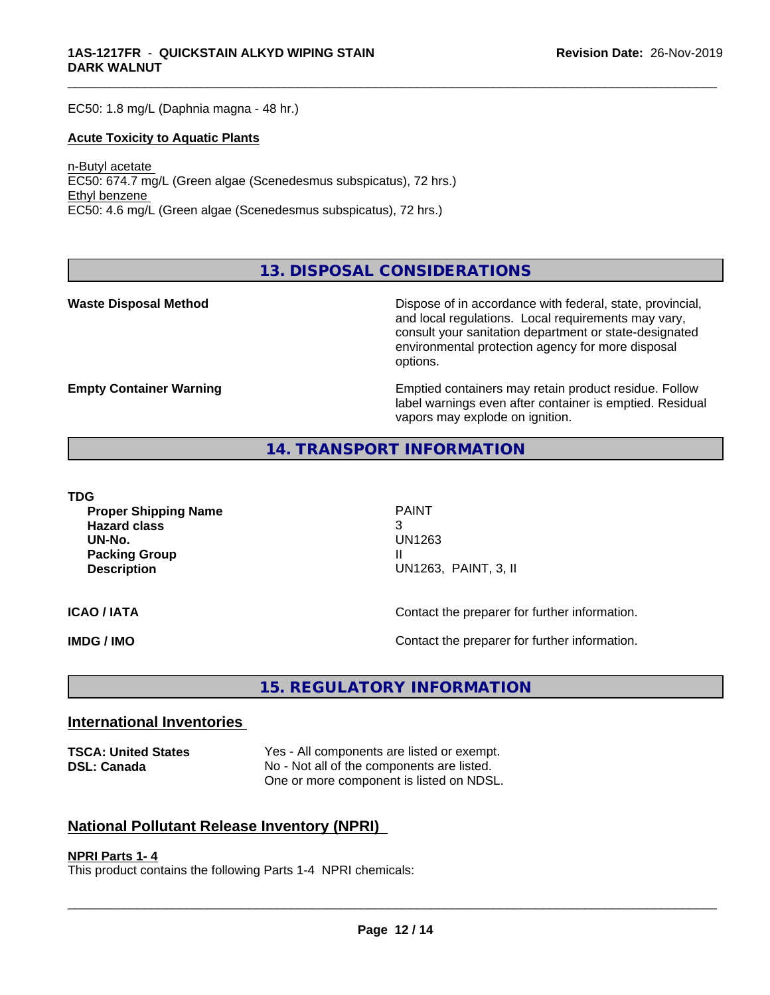EC50: 1.8 mg/L (Daphnia magna - 48 hr.)

#### **Acute Toxicity to Aquatic Plants**

n-Butyl acetate EC50: 674.7 mg/L (Green algae (Scenedesmus subspicatus), 72 hrs.) Ethyl benzene EC50: 4.6 mg/L (Green algae (Scenedesmus subspicatus), 72 hrs.)

**13. DISPOSAL CONSIDERATIONS**

**Waste Disposal Method Dispose of in accordance with federal, state, provincial,** and local regulations. Local requirements may vary, consult your sanitation department or state-designated environmental protection agency for more disposal options.

**Empty Container Warning <b>Emptied** Containers may retain product residue. Follow label warnings even after container is emptied. Residual vapors may explode on ignition.

## **14. TRANSPORT INFORMATION**

**TDG**

**Proper Shipping Name** PAINT **Hazard class** 3 **UN-No.** UN1263 **Packing Group III Description** UN1263, PAINT, 3, II

\_\_\_\_\_\_\_\_\_\_\_\_\_\_\_\_\_\_\_\_\_\_\_\_\_\_\_\_\_\_\_\_\_\_\_\_\_\_\_\_\_\_\_\_\_\_\_\_\_\_\_\_\_\_\_\_\_\_\_\_\_\_\_\_\_\_\_\_\_\_\_\_\_\_\_\_\_\_\_\_\_\_\_\_\_\_\_\_\_\_\_\_\_

**ICAO / IATA ICAO / IATA Contact the preparer for further information.** 

**IMDG / IMO Contact the preparer for further information.** 

# **15. REGULATORY INFORMATION**

## **International Inventories**

**TSCA: United States** Yes - All components are listed or exempt. **DSL: Canada** No - Not all of the components are listed. One or more component is listed on NDSL.

## **National Pollutant Release Inventory (NPRI)**

#### **NPRI Parts 1- 4**

This product contains the following Parts 1-4 NPRI chemicals: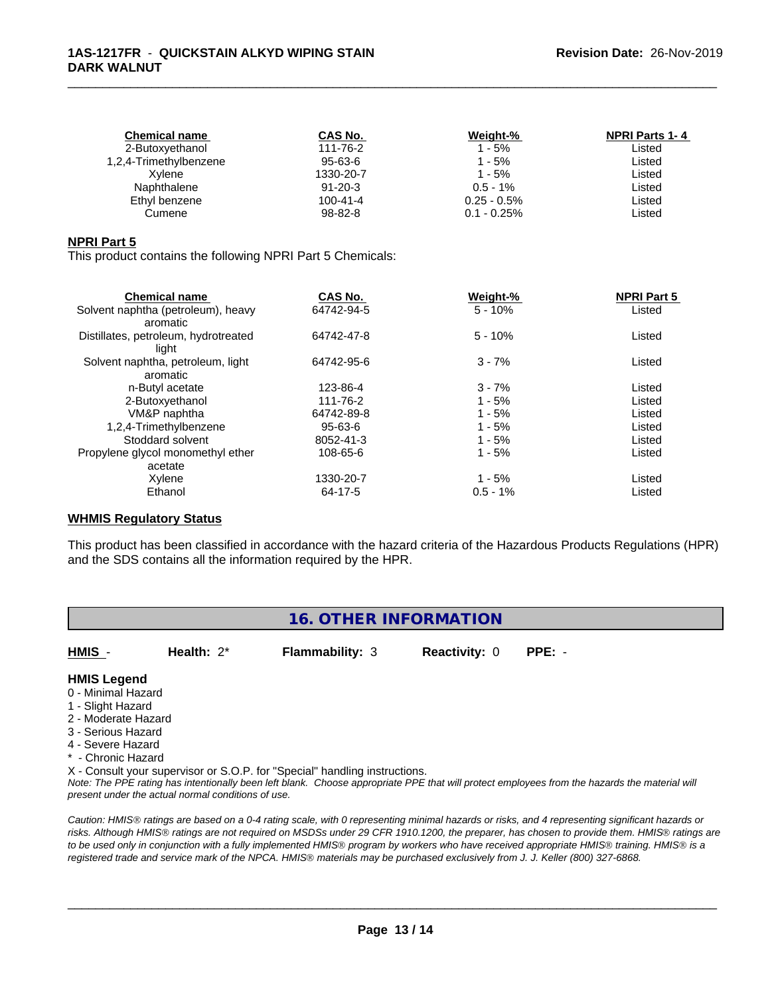| <b>Chemical name</b>   | CAS No.       | Weight-%       | <b>NPRI Parts 1-4</b> |
|------------------------|---------------|----------------|-----------------------|
| 2-Butoxyethanol        | 111-76-2      | $1 - 5%$       | Listed                |
| 1,2,4-Trimethylbenzene | 95-63-6       | 1 - 5%         | Listed                |
| Xvlene                 | 1330-20-7     | $1 - 5%$       | Listed                |
| Naphthalene            | $91 - 20 - 3$ | $0.5 - 1\%$    | Listed                |
| Ethyl benzene          | 100-41-4      | $0.25 - 0.5\%$ | ∟isted                |
| Cumene                 | 98-82-8       | $0.1 - 0.25\%$ | ∟isted                |
|                        |               |                |                       |

#### **NPRI Part 5**

This product contains the following NPRI Part 5 Chemicals:

#### **WHMIS Regulatory Status**

This product has been classified in accordance with the hazard criteria of the Hazardous Products Regulations (HPR) and the SDS contains all the information required by the HPR.

## **16. OTHER INFORMATION**

**HMIS** - **Health:** 2\* **Flammability:** 3 **Reactivity:** 0 **PPE:** -

# **HMIS Legend**

- 0 Minimal Hazard
- 1 Slight Hazard
- 2 Moderate Hazard
- 3 Serious Hazard
- 4 Severe Hazard
- \* Chronic Hazard
- X Consult your supervisor or S.O.P. for "Special" handling instructions.

*Note: The PPE rating has intentionally been left blank. Choose appropriate PPE that will protect employees from the hazards the material will present under the actual normal conditions of use.*

*Caution: HMISÒ ratings are based on a 0-4 rating scale, with 0 representing minimal hazards or risks, and 4 representing significant hazards or risks. Although HMISÒ ratings are not required on MSDSs under 29 CFR 1910.1200, the preparer, has chosen to provide them. HMISÒ ratings are to be used only in conjunction with a fully implemented HMISÒ program by workers who have received appropriate HMISÒ training. HMISÒ is a registered trade and service mark of the NPCA. HMISÒ materials may be purchased exclusively from J. J. Keller (800) 327-6868.*